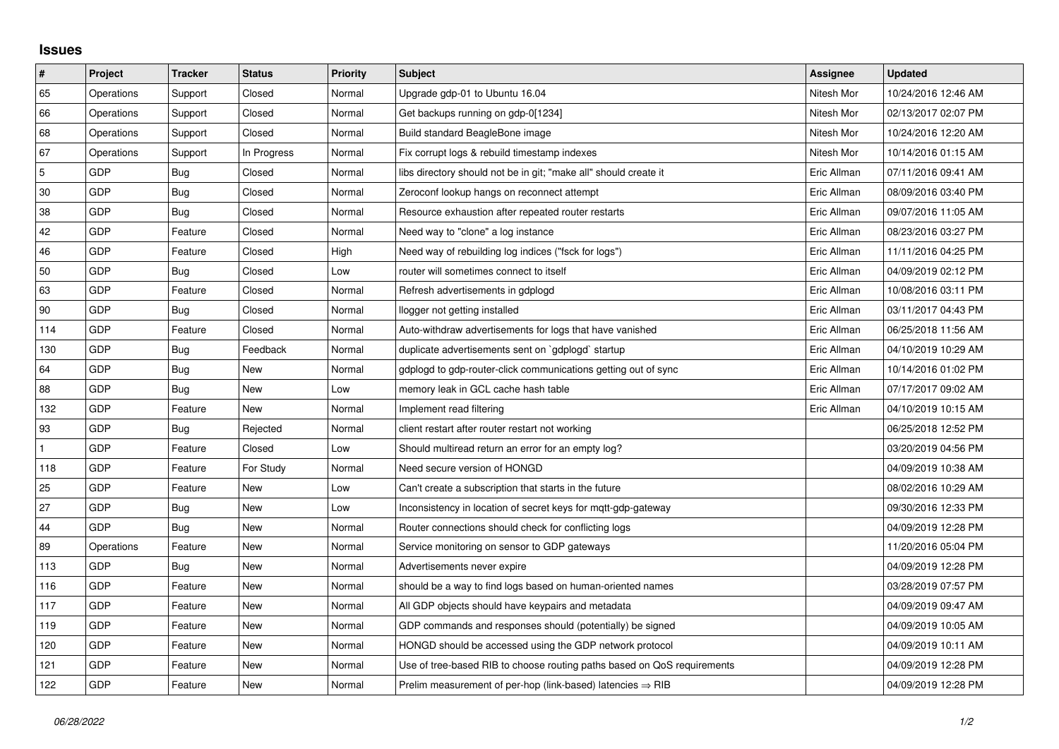## **Issues**

| $\vert$ #      | Project    | <b>Tracker</b> | <b>Status</b> | <b>Priority</b> | <b>Subject</b>                                                          | Assignee    | <b>Updated</b>      |
|----------------|------------|----------------|---------------|-----------------|-------------------------------------------------------------------------|-------------|---------------------|
| 65             | Operations | Support        | Closed        | Normal          | Upgrade gdp-01 to Ubuntu 16.04                                          | Nitesh Mor  | 10/24/2016 12:46 AM |
| 66             | Operations | Support        | Closed        | Normal          | Get backups running on gdp-0[1234]                                      | Nitesh Mor  | 02/13/2017 02:07 PM |
| 68             | Operations | Support        | Closed        | Normal          | Build standard BeagleBone image                                         | Nitesh Mor  | 10/24/2016 12:20 AM |
| 67             | Operations | Support        | In Progress   | Normal          | Fix corrupt logs & rebuild timestamp indexes                            | Nitesh Mor  | 10/14/2016 01:15 AM |
| $\overline{5}$ | <b>GDP</b> | Bug            | Closed        | Normal          | libs directory should not be in git; "make all" should create it        | Eric Allman | 07/11/2016 09:41 AM |
| 30             | <b>GDP</b> | Bug            | Closed        | Normal          | Zeroconf lookup hangs on reconnect attempt                              | Eric Allman | 08/09/2016 03:40 PM |
| 38             | <b>GDP</b> | Bug            | Closed        | Normal          | Resource exhaustion after repeated router restarts                      | Eric Allman | 09/07/2016 11:05 AM |
| 42             | GDP        | Feature        | Closed        | Normal          | Need way to "clone" a log instance                                      | Eric Allman | 08/23/2016 03:27 PM |
| 46             | <b>GDP</b> | Feature        | Closed        | High            | Need way of rebuilding log indices ("fsck for logs")                    | Eric Allman | 11/11/2016 04:25 PM |
| 50             | <b>GDP</b> | Bug            | Closed        | Low             | router will sometimes connect to itself                                 | Eric Allman | 04/09/2019 02:12 PM |
| 63             | GDP        | Feature        | Closed        | Normal          | Refresh advertisements in gdplogd                                       | Eric Allman | 10/08/2016 03:11 PM |
| 90             | <b>GDP</b> | Bug            | Closed        | Normal          | llogger not getting installed                                           | Eric Allman | 03/11/2017 04:43 PM |
| 114            | GDP        | Feature        | Closed        | Normal          | Auto-withdraw advertisements for logs that have vanished                | Eric Allman | 06/25/2018 11:56 AM |
| 130            | GDP        | <b>Bug</b>     | Feedback      | Normal          | duplicate advertisements sent on `gdplogd` startup                      | Eric Allman | 04/10/2019 10:29 AM |
| 64             | GDP        | Bug            | <b>New</b>    | Normal          | gdplogd to gdp-router-click communications getting out of sync          | Eric Allman | 10/14/2016 01:02 PM |
| 88             | <b>GDP</b> | Bug            | <b>New</b>    | Low             | memory leak in GCL cache hash table                                     | Eric Allman | 07/17/2017 09:02 AM |
| 132            | GDP        | Feature        | New           | Normal          | Implement read filtering                                                | Eric Allman | 04/10/2019 10:15 AM |
| 93             | <b>GDP</b> | Bug            | Rejected      | Normal          | client restart after router restart not working                         |             | 06/25/2018 12:52 PM |
| $\mathbf{1}$   | <b>GDP</b> | Feature        | Closed        | Low             | Should multiread return an error for an empty log?                      |             | 03/20/2019 04:56 PM |
| 118            | GDP        | Feature        | For Study     | Normal          | Need secure version of HONGD                                            |             | 04/09/2019 10:38 AM |
| 25             | <b>GDP</b> | Feature        | New           | Low             | Can't create a subscription that starts in the future                   |             | 08/02/2016 10:29 AM |
| 27             | GDP        | Bug            | New           | Low             | Inconsistency in location of secret keys for mqtt-gdp-gateway           |             | 09/30/2016 12:33 PM |
| 44             | <b>GDP</b> | Bug            | New           | Normal          | Router connections should check for conflicting logs                    |             | 04/09/2019 12:28 PM |
| 89             | Operations | Feature        | <b>New</b>    | Normal          | Service monitoring on sensor to GDP gateways                            |             | 11/20/2016 05:04 PM |
| 113            | <b>GDP</b> | Bug            | <b>New</b>    | Normal          | Advertisements never expire                                             |             | 04/09/2019 12:28 PM |
| 116            | GDP        | Feature        | New           | Normal          | should be a way to find logs based on human-oriented names              |             | 03/28/2019 07:57 PM |
| 117            | GDP        | Feature        | New           | Normal          | All GDP objects should have keypairs and metadata                       |             | 04/09/2019 09:47 AM |
| 119            | <b>GDP</b> | Feature        | <b>New</b>    | Normal          | GDP commands and responses should (potentially) be signed               |             | 04/09/2019 10:05 AM |
| 120            | GDP        | Feature        | New           | Normal          | HONGD should be accessed using the GDP network protocol                 |             | 04/09/2019 10:11 AM |
| 121            | GDP        | Feature        | New           | Normal          | Use of tree-based RIB to choose routing paths based on QoS requirements |             | 04/09/2019 12:28 PM |
| 122            | GDP        | Feature        | <b>New</b>    | Normal          | Prelim measurement of per-hop (link-based) latencies $\Rightarrow$ RIB  |             | 04/09/2019 12:28 PM |